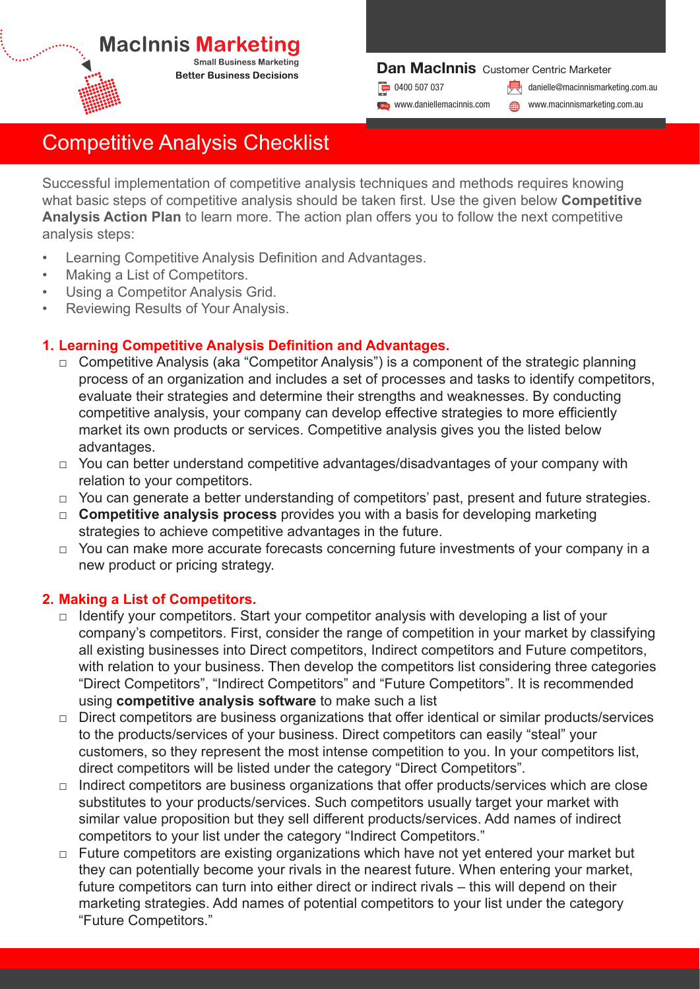# **MacInnis Marketing**

**Small Business Marketing Better Business Decisions** 

#### Dan MacInnis Customer Centric Marketer

**Blog** www.daniellemacinnis.com

**Dr** 0400 507 037 **in 19th of 19th of 19th of 19th of 19th of 19th of 19th of 19th of 19th of 19th of 19th of 19th of 19th of 19th of 19th of 19th of 19th of 19th of 19th of 19th of 19th of 19th of 19th of 19th of 19th of** 

www.macinnismarketing.com.au

# Competitive Analysis Checklist

Successful implementation of competitive analysis techniques and methods requires knowing what basic steps of competitive analysis should be taken first. Use the given below **Competitive Analysis Action Plan** to learn more. The action plan offers you to follow the next competitive analysis steps:

- Learning Competitive Analysis Definition and Advantages.
- Making a List of Competitors.
- Using a Competitor Analysis Grid.
- Reviewing Results of Your Analysis.

## **1. Learning Competitive Analysis Definition and Advantages.**

- $\Box$  Competitive Analysis (aka "Competitor Analysis") is a component of the strategic planning process of an organization and includes a set of processes and tasks to identify competitors, evaluate their strategies and determine their strengths and weaknesses. By conducting competitive analysis, your company can develop effective strategies to more efficiently market its own products or services. Competitive analysis gives you the listed below advantages.
- $\Box$  You can better understand competitive advantages/disadvantages of your company with relation to your competitors.
- □ You can generate a better understanding of competitors' past, present and future strategies.
- □ **Competitive analysis process** provides you with a basis for developing marketing strategies to achieve competitive advantages in the future.
- □ You can make more accurate forecasts concerning future investments of your company in a new product or pricing strategy.

## **2. Making a List of Competitors.**

- □ Identify your competitors. Start your competitor analysis with developing a list of your company's competitors. First, consider the range of competition in your market by classifying all existing businesses into Direct competitors, Indirect competitors and Future competitors, with relation to your business. Then develop the competitors list considering three categories "Direct Competitors", "Indirect Competitors" and "Future Competitors". It is recommended using **competitive analysis software** to make such a list
- $\Box$  Direct competitors are business organizations that offer identical or similar products/services to the products/services of your business. Direct competitors can easily "steal" your customers, so they represent the most intense competition to you. In your competitors list, direct competitors will be listed under the category "Direct Competitors".
- $\Box$  Indirect competitors are business organizations that offer products/services which are close substitutes to your products/services. Such competitors usually target your market with similar value proposition but they sell different products/services. Add names of indirect competitors to your list under the category "Indirect Competitors."
- $\Box$  Future competitors are existing organizations which have not yet entered your market but they can potentially become your rivals in the nearest future. When entering your market, future competitors can turn into either direct or indirect rivals – this will depend on their marketing strategies. Add names of potential competitors to your list under the category "Future Competitors."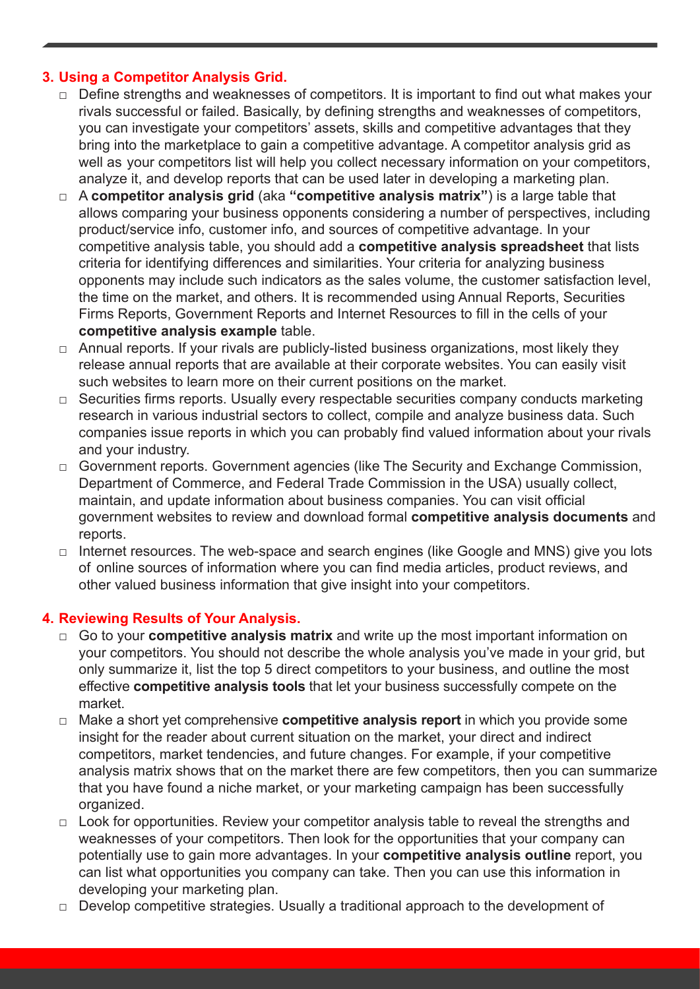## **3. Using a Competitor Analysis Grid.**

- $\Box$  Define strengths and weaknesses of competitors. It is important to find out what makes your rivals successful or failed. Basically, by defining strengths and weaknesses of competitors, you can investigate your competitors' assets, skills and competitive advantages that they bring into the marketplace to gain a competitive advantage. A competitor analysis grid as well as your competitors list will help you collect necessary information on your competitors, analyze it, and develop reports that can be used later in developing a marketing plan.
- □ A **competitor analysis grid** (aka "**competitive analysis matrix**") is a large table that allows comparing your business opponents considering a number of perspectives, including product/service info, customer info, and sources of competitive advantage. In your competitive analysis table, you should add a **competitive analysis spreadsheet** that lists criteria for identifying differences and similarities. Your criteria for analyzing business opponents may include such indicators as the sales volume, the customer satisfaction level, the time on the market, and others. It is recommended using Annual Reports, Securities Firms Reports, Government Reports and Internet Resources to fill in the cells of your **competitive analysis example** table.
- $\Box$  Annual reports. If your rivals are publicly-listed business organizations, most likely they release annual reports that are available at their corporate websites. You can easily visit such websites to learn more on their current positions on the market.
- □ Securities firms reports. Usually every respectable securities company conducts marketing research in various industrial sectors to collect, compile and analyze business data. Such companies issue reports in which you can probably find valued information about your rivals and your industry.
- □ Government reports. Government agencies (like The Security and Exchange Commission, Department of Commerce, and Federal Trade Commission in the USA) usually collect, maintain, and update information about business companies. You can visit official government websites to review and download formal **competitive analysis documents** and reports.
- □ Internet resources. The web-space and search engines (like Google and MNS) give you lots of online sources of information where you can find media articles, product reviews, and other valued business information that give insight into your competitors.

### **4. Reviewing Results of Your Analysis.**

- □ Go to your **competitive analysis matrix** and write up the most important information on your competitors. You should not describe the whole analysis you've made in your grid, but only summarize it, list the top 5 direct competitors to your business, and outline the most effective **competitive analysis tools** that let your business successfully compete on the market.
- □ Make a short yet comprehensive **competitive analysis report** in which you provide some insight for the reader about current situation on the market, your direct and indirect competitors, market tendencies, and future changes. For example, if your competitive analysis matrix shows that on the market there are few competitors, then you can summarize that you have found a niche market, or your marketing campaign has been successfully organized.
- $\Box$  Look for opportunities. Review your competitor analysis table to reveal the strengths and weaknesses of your competitors. Then look for the opportunities that your company can potentially use to gain more advantages. In your **competitive analysis outline** report, you can list what opportunities you company can take. Then you can use this information in developing your marketing plan.
- $\Box$  Develop competitive strategies. Usually a traditional approach to the development of